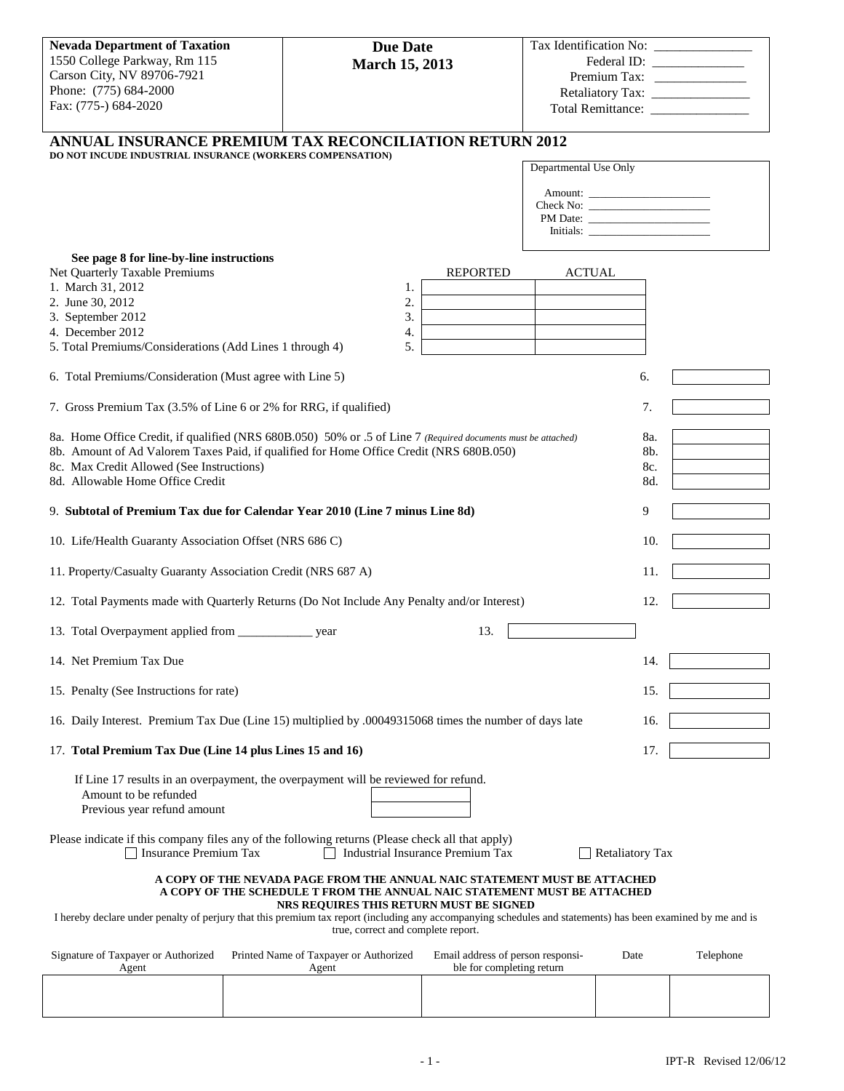| <b>Nevada Department of Taxation</b>                                                                                                                                                                                                                                                                                     | <b>Due Date</b>                                                                                               |                                                                |                       |                        |                             |
|--------------------------------------------------------------------------------------------------------------------------------------------------------------------------------------------------------------------------------------------------------------------------------------------------------------------------|---------------------------------------------------------------------------------------------------------------|----------------------------------------------------------------|-----------------------|------------------------|-----------------------------|
| 1550 College Parkway, Rm 115<br>Carson City, NV 89706-7921                                                                                                                                                                                                                                                               | <b>March 15, 2013</b>                                                                                         |                                                                |                       |                        | Federal ID: _______________ |
| Phone: (775) 684-2000                                                                                                                                                                                                                                                                                                    |                                                                                                               |                                                                |                       |                        |                             |
| Fax: (775-) 684-2020                                                                                                                                                                                                                                                                                                     |                                                                                                               |                                                                |                       |                        |                             |
|                                                                                                                                                                                                                                                                                                                          | <b>ANNUAL INSURANCE PREMIUM TAX RECONCILIATION RETURN 2012</b>                                                |                                                                |                       |                        |                             |
| DO NOT INCUDE INDUSTRIAL INSURANCE (WORKERS COMPENSATION)                                                                                                                                                                                                                                                                |                                                                                                               |                                                                |                       |                        |                             |
|                                                                                                                                                                                                                                                                                                                          |                                                                                                               |                                                                | Departmental Use Only |                        |                             |
|                                                                                                                                                                                                                                                                                                                          |                                                                                                               |                                                                |                       |                        |                             |
|                                                                                                                                                                                                                                                                                                                          |                                                                                                               |                                                                |                       |                        |                             |
|                                                                                                                                                                                                                                                                                                                          |                                                                                                               |                                                                |                       |                        |                             |
| See page 8 for line-by-line instructions<br>Net Quarterly Taxable Premiums                                                                                                                                                                                                                                               |                                                                                                               | <b>REPORTED</b>                                                | <b>ACTUAL</b>         |                        |                             |
| 1. March 31, 2012                                                                                                                                                                                                                                                                                                        | 1.                                                                                                            |                                                                |                       |                        |                             |
| 2. June 30, 2012<br>3. September 2012                                                                                                                                                                                                                                                                                    | 2.<br>3.                                                                                                      |                                                                |                       |                        |                             |
| 4. December 2012                                                                                                                                                                                                                                                                                                         | 4.                                                                                                            |                                                                |                       |                        |                             |
| 5. Total Premiums/Considerations (Add Lines 1 through 4)                                                                                                                                                                                                                                                                 | 5.                                                                                                            |                                                                |                       |                        |                             |
| 6. Total Premiums/Consideration (Must agree with Line 5)                                                                                                                                                                                                                                                                 |                                                                                                               |                                                                |                       | 6.                     |                             |
| 7. Gross Premium Tax (3.5% of Line 6 or 2% for RRG, if qualified)                                                                                                                                                                                                                                                        |                                                                                                               |                                                                |                       | 7.                     |                             |
|                                                                                                                                                                                                                                                                                                                          | 8a. Home Office Credit, if qualified (NRS 680B.050) 50% or .5 of Line 7 (Required documents must be attached) |                                                                |                       | 8a.                    |                             |
|                                                                                                                                                                                                                                                                                                                          | 8b. Amount of Ad Valorem Taxes Paid, if qualified for Home Office Credit (NRS 680B.050)                       |                                                                |                       | 8b.                    |                             |
| 8c. Max Credit Allowed (See Instructions)<br>8d. Allowable Home Office Credit                                                                                                                                                                                                                                            |                                                                                                               |                                                                |                       | 8c.<br>8d.             |                             |
|                                                                                                                                                                                                                                                                                                                          |                                                                                                               |                                                                |                       |                        |                             |
| 9. Subtotal of Premium Tax due for Calendar Year 2010 (Line 7 minus Line 8d)<br>9                                                                                                                                                                                                                                        |                                                                                                               |                                                                |                       |                        |                             |
| 10. Life/Health Guaranty Association Offset (NRS 686 C)<br>10.                                                                                                                                                                                                                                                           |                                                                                                               |                                                                |                       |                        |                             |
| 11. Property/Casualty Guaranty Association Credit (NRS 687 A)                                                                                                                                                                                                                                                            |                                                                                                               |                                                                | 11.                   |                        |                             |
| 12. Total Payments made with Quarterly Returns (Do Not Include Any Penalty and/or Interest)<br>12.                                                                                                                                                                                                                       |                                                                                                               |                                                                |                       |                        |                             |
| 13. Total Overpayment applied from _______________________ year<br>13.                                                                                                                                                                                                                                                   |                                                                                                               |                                                                |                       |                        |                             |
| 14. Net Premium Tax Due                                                                                                                                                                                                                                                                                                  |                                                                                                               |                                                                |                       | 14.                    |                             |
| 15. Penalty (See Instructions for rate)                                                                                                                                                                                                                                                                                  |                                                                                                               |                                                                |                       | 15.                    |                             |
|                                                                                                                                                                                                                                                                                                                          | 16. Daily Interest. Premium Tax Due (Line 15) multiplied by .00049315068 times the number of days late        |                                                                |                       | 16.                    |                             |
| 17. Total Premium Tax Due (Line 14 plus Lines 15 and 16)                                                                                                                                                                                                                                                                 |                                                                                                               |                                                                |                       | 17.                    |                             |
| Amount to be refunded<br>Previous year refund amount                                                                                                                                                                                                                                                                     | If Line 17 results in an overpayment, the overpayment will be reviewed for refund.                            |                                                                |                       |                        |                             |
| Insurance Premium Tax                                                                                                                                                                                                                                                                                                    | Please indicate if this company files any of the following returns (Please check all that apply)              | Industrial Insurance Premium Tax                               |                       | <b>Retaliatory Tax</b> |                             |
|                                                                                                                                                                                                                                                                                                                          | A COPY OF THE NEVADA PAGE FROM THE ANNUAL NAIC STATEMENT MUST BE ATTACHED                                     |                                                                |                       |                        |                             |
| A COPY OF THE SCHEDULE T FROM THE ANNUAL NAIC STATEMENT MUST BE ATTACHED<br>NRS REQUIRES THIS RETURN MUST BE SIGNED<br>I hereby declare under penalty of perjury that this premium tax report (including any accompanying schedules and statements) has been examined by me and is<br>true, correct and complete report. |                                                                                                               |                                                                |                       |                        |                             |
| Signature of Taxpayer or Authorized<br>Agent                                                                                                                                                                                                                                                                             | Printed Name of Taxpayer or Authorized<br>Agent                                                               | Email address of person responsi-<br>ble for completing return |                       | Date                   | Telephone                   |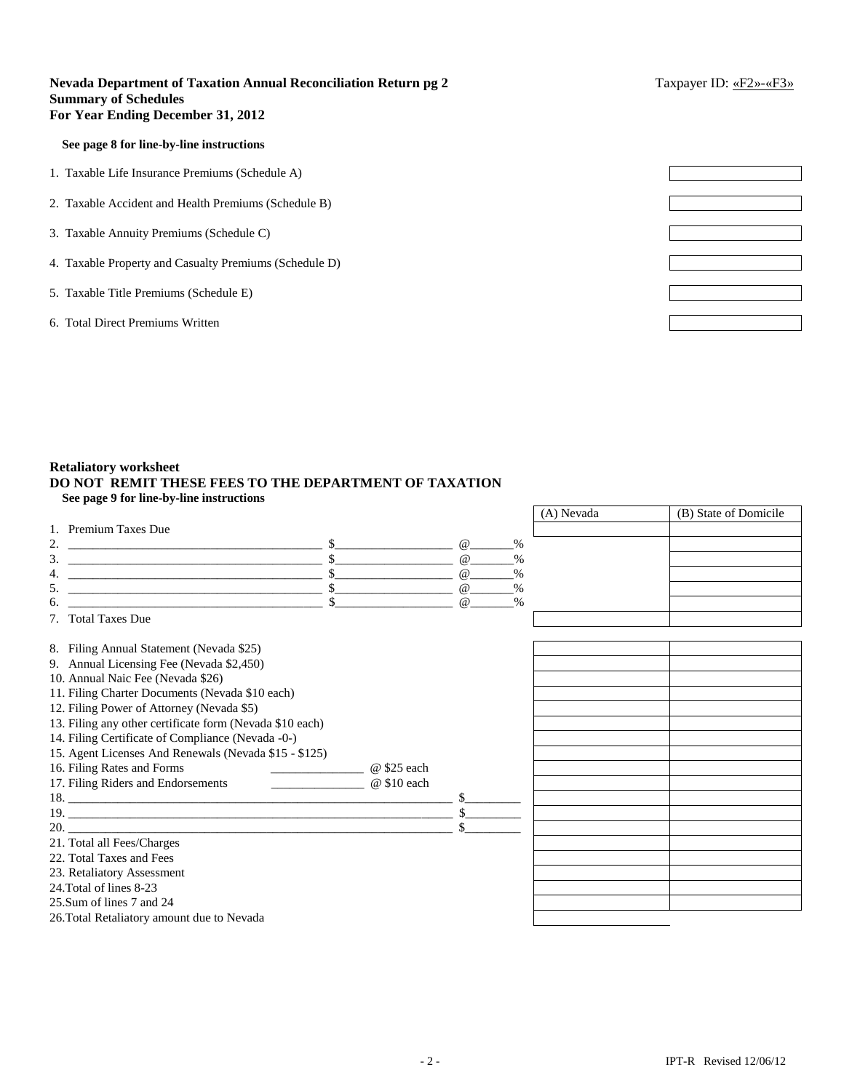# **Nevada Department of Taxation Annual Reconciliation Return pg 2** Taxpayer ID: «F2»-«F3» **Summary of Schedules For Year Ending December 31, 2012**

### **See page 8 for line-by-line instructions**

1. Taxable Life Insurance Premiums (Schedule A)

- 2. Taxable Accident and Health Premiums (Schedule B)
- 3. Taxable Annuity Premiums (Schedule C)
- 4. Taxable Property and Casualty Premiums (Schedule D)
- 5. Taxable Title Premiums (Schedule E)
- 6. Total Direct Premiums Written

| $\mathcal{L}_{\text{max}}$ and $\mathcal{L}_{\text{max}}$ |  |
|-----------------------------------------------------------|--|
|                                                           |  |
|                                                           |  |
|                                                           |  |
|                                                           |  |
|                                                           |  |
|                                                           |  |
|                                                           |  |
|                                                           |  |

# **Retaliatory worksheet DO NOT REMIT THESE FEES TO THE DEPARTMENT OF TAXATION See page 9 for line-by-line instructions**

|                                                                                                                                                                                                                                                                                   |                           | (A) Nevada | (B) State of Domicile |
|-----------------------------------------------------------------------------------------------------------------------------------------------------------------------------------------------------------------------------------------------------------------------------------|---------------------------|------------|-----------------------|
| 1. Premium Taxes Due                                                                                                                                                                                                                                                              |                           |            |                       |
| 2.                                                                                                                                                                                                                                                                                | $\omega$<br>$\frac{0}{0}$ |            |                       |
| 3.<br><u> 1989 - Andrea Stadt Britain, amerikansk politiker (</u>                                                                                                                                                                                                                 | $\omega$<br>$\%$          |            |                       |
| 4.                                                                                                                                                                                                                                                                                |                           |            |                       |
| 5.                                                                                                                                                                                                                                                                                |                           |            |                       |
| 6.                                                                                                                                                                                                                                                                                | $\%$<br>$\omega$          |            |                       |
| 7. Total Taxes Due                                                                                                                                                                                                                                                                |                           |            |                       |
| 8. Filing Annual Statement (Nevada \$25)                                                                                                                                                                                                                                          |                           |            |                       |
| 9. Annual Licensing Fee (Nevada \$2,450)                                                                                                                                                                                                                                          |                           |            |                       |
| 10. Annual Naic Fee (Nevada \$26)                                                                                                                                                                                                                                                 |                           |            |                       |
| 11. Filing Charter Documents (Nevada \$10 each)                                                                                                                                                                                                                                   |                           |            |                       |
| 12. Filing Power of Attorney (Nevada \$5)                                                                                                                                                                                                                                         |                           |            |                       |
| 13. Filing any other certificate form (Nevada \$10 each)                                                                                                                                                                                                                          |                           |            |                       |
| 14. Filing Certificate of Compliance (Nevada -0-)                                                                                                                                                                                                                                 |                           |            |                       |
| 15. Agent Licenses And Renewals (Nevada \$15 - \$125)                                                                                                                                                                                                                             |                           |            |                       |
| 16. Filing Rates and Forms<br>@ \$25 each<br><u> 1989 - John Harry Harry Harry Harry Harry Harry Harry Harry Harry Harry Harry Harry Harry Harry Harry Harry Harry Harry Harry Harry Harry Harry Harry Harry Harry Harry Harry Harry Harry Harry Harry Harry Harry Harry Harr</u> |                           |            |                       |
| 17. Filing Riders and Endorsements<br>$@$ \$10 each                                                                                                                                                                                                                               |                           |            |                       |
| 18.                                                                                                                                                                                                                                                                               |                           |            |                       |
| 19.                                                                                                                                                                                                                                                                               |                           |            |                       |
| 20.                                                                                                                                                                                                                                                                               |                           |            |                       |
| 21. Total all Fees/Charges                                                                                                                                                                                                                                                        |                           |            |                       |
| 22. Total Taxes and Fees                                                                                                                                                                                                                                                          |                           |            |                       |
| 23. Retaliatory Assessment                                                                                                                                                                                                                                                        |                           |            |                       |
| 24. Total of lines 8-23                                                                                                                                                                                                                                                           |                           |            |                       |
| 25. Sum of lines 7 and 24                                                                                                                                                                                                                                                         |                           |            |                       |
| 26. Total Retaliatory amount due to Nevada                                                                                                                                                                                                                                        |                           |            |                       |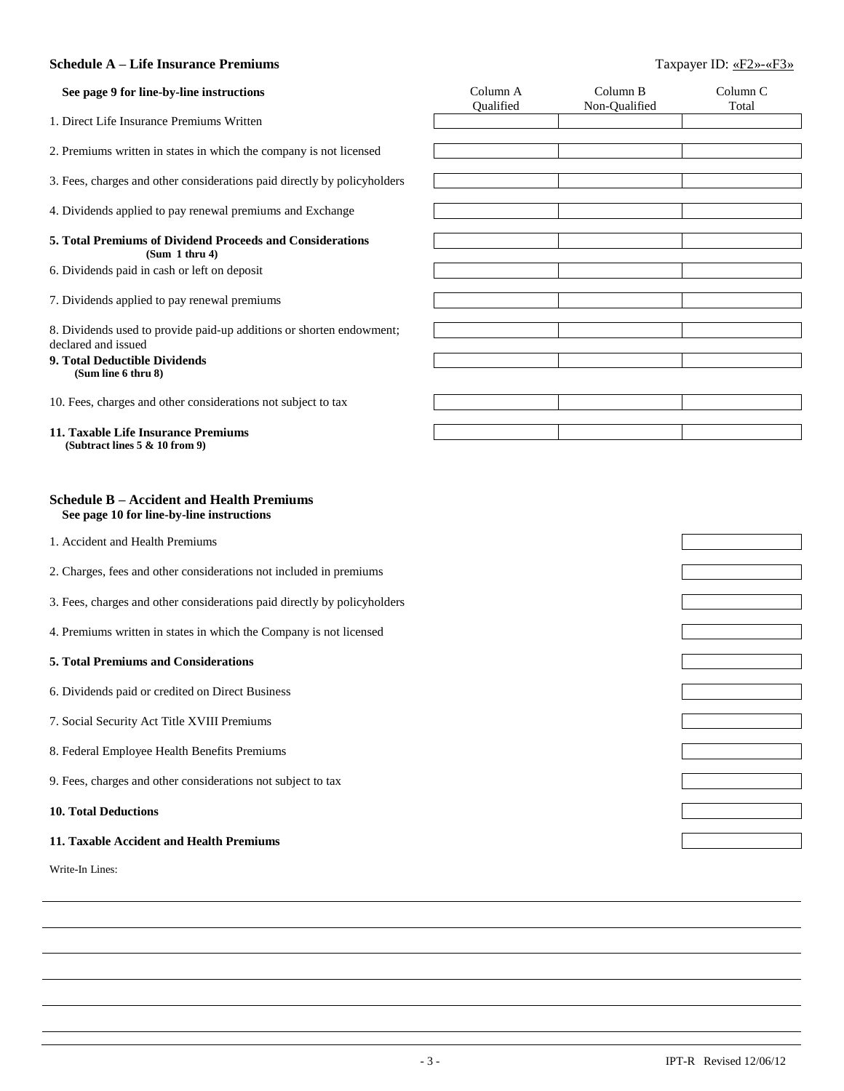# **Schedule A – Life Insurance Premiums** Taxpayer ID: «F2»-«F3»

| See page 9 for line-by-line instructions                                                      | Column A<br>Qualified | Column B<br>Non-Qualified | Column <sub>C</sub><br>Total |
|-----------------------------------------------------------------------------------------------|-----------------------|---------------------------|------------------------------|
| 1. Direct Life Insurance Premiums Written                                                     |                       |                           |                              |
| 2. Premiums written in states in which the company is not licensed                            |                       |                           |                              |
| 3. Fees, charges and other considerations paid directly by policyholders                      |                       |                           |                              |
| 4. Dividends applied to pay renewal premiums and Exchange                                     |                       |                           |                              |
| 5. Total Premiums of Dividend Proceeds and Considerations                                     |                       |                           |                              |
| (Sum 1 thru 4)<br>6. Dividends paid in cash or left on deposit                                |                       |                           |                              |
| 7. Dividends applied to pay renewal premiums                                                  |                       |                           |                              |
| 8. Dividends used to provide paid-up additions or shorten endowment;<br>declared and issued   |                       |                           |                              |
| 9. Total Deductible Dividends<br>(Sum line 6 thru 8)                                          |                       |                           |                              |
| 10. Fees, charges and other considerations not subject to tax                                 |                       |                           |                              |
| 11. Taxable Life Insurance Premiums<br>(Subtract lines 5 & 10 from 9)                         |                       |                           |                              |
|                                                                                               |                       |                           |                              |
| <b>Schedule B – Accident and Health Premiums</b><br>See page 10 for line-by-line instructions |                       |                           |                              |
| 1. Accident and Health Premiums                                                               |                       |                           |                              |
| 2. Charges, fees and other considerations not included in premiums                            |                       |                           |                              |
| 3. Fees, charges and other considerations paid directly by policyholders                      |                       |                           |                              |
| 4. Premiums written in states in which the Company is not licensed                            |                       |                           |                              |
| 5. Total Premiums and Considerations                                                          |                       |                           |                              |
| 6. Dividends paid or credited on Direct Business                                              |                       |                           |                              |
| 7. Social Security Act Title XVIII Premiums                                                   |                       |                           |                              |
| 8. Federal Employee Health Benefits Premiums                                                  |                       |                           |                              |
| 9. Fees, charges and other considerations not subject to tax                                  |                       |                           |                              |
| <b>10. Total Deductions</b>                                                                   |                       |                           |                              |
| 11. Taxable Accident and Health Premiums                                                      |                       |                           |                              |
| Write-In Lines:                                                                               |                       |                           |                              |
|                                                                                               |                       |                           |                              |
|                                                                                               |                       |                           |                              |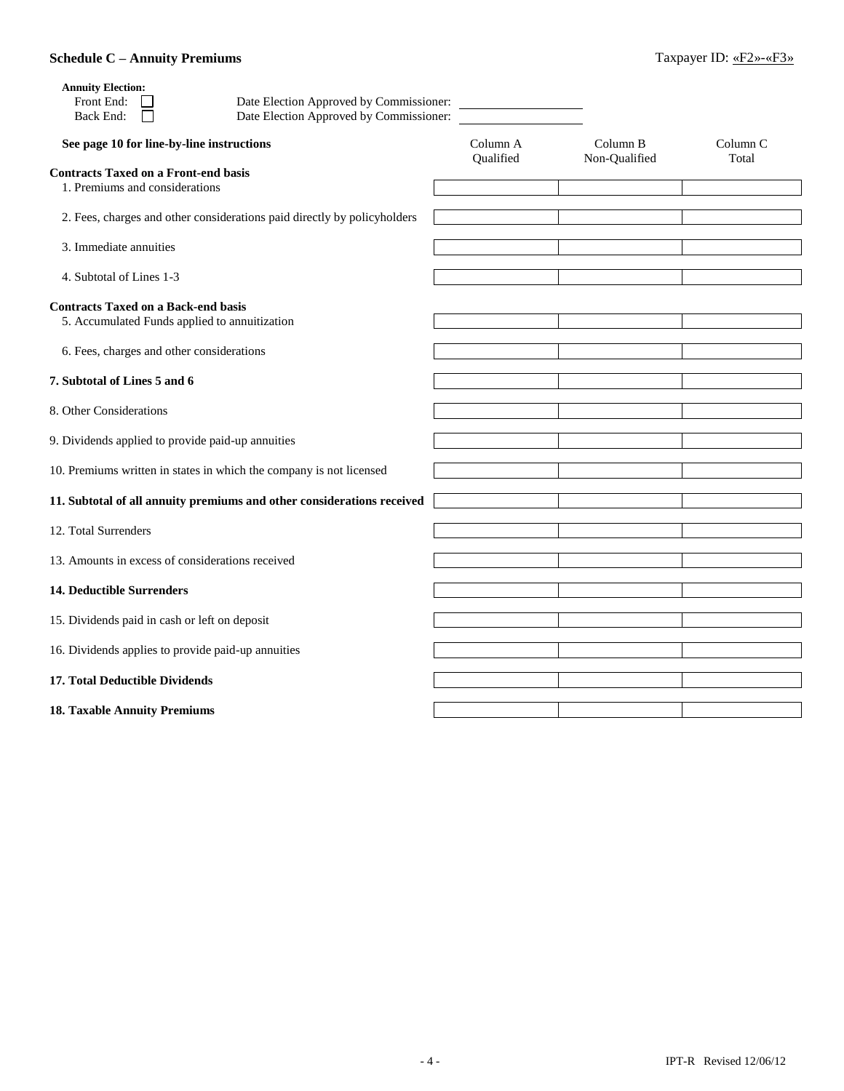# **Schedule C – Annuity Premiums** Taxpayer ID: «F2»-«F3»

| <b>Annuity Election:</b><br>Front End:<br>Date Election Approved by Commissioner:<br>Date Election Approved by Commissioner:<br>Back End: |           |               |                     |
|-------------------------------------------------------------------------------------------------------------------------------------------|-----------|---------------|---------------------|
| See page 10 for line-by-line instructions                                                                                                 | Column A  | Column B      | Column <sub>C</sub> |
| <b>Contracts Taxed on a Front-end basis</b><br>1. Premiums and considerations                                                             | Qualified | Non-Qualified | Total               |
| 2. Fees, charges and other considerations paid directly by policyholders                                                                  |           |               |                     |
| 3. Immediate annuities                                                                                                                    |           |               |                     |
| 4. Subtotal of Lines 1-3                                                                                                                  |           |               |                     |
| <b>Contracts Taxed on a Back-end basis</b><br>5. Accumulated Funds applied to annuitization                                               |           |               |                     |
| 6. Fees, charges and other considerations                                                                                                 |           |               |                     |
| 7. Subtotal of Lines 5 and 6                                                                                                              |           |               |                     |
| 8. Other Considerations                                                                                                                   |           |               |                     |
| 9. Dividends applied to provide paid-up annuities                                                                                         |           |               |                     |
| 10. Premiums written in states in which the company is not licensed                                                                       |           |               |                     |
| 11. Subtotal of all annuity premiums and other considerations received                                                                    |           |               |                     |
| 12. Total Surrenders                                                                                                                      |           |               |                     |
| 13. Amounts in excess of considerations received                                                                                          |           |               |                     |
| <b>14. Deductible Surrenders</b>                                                                                                          |           |               |                     |
| 15. Dividends paid in cash or left on deposit                                                                                             |           |               |                     |
| 16. Dividends applies to provide paid-up annuities                                                                                        |           |               |                     |
| 17. Total Deductible Dividends                                                                                                            |           |               |                     |
| <b>18. Taxable Annuity Premiums</b>                                                                                                       |           |               |                     |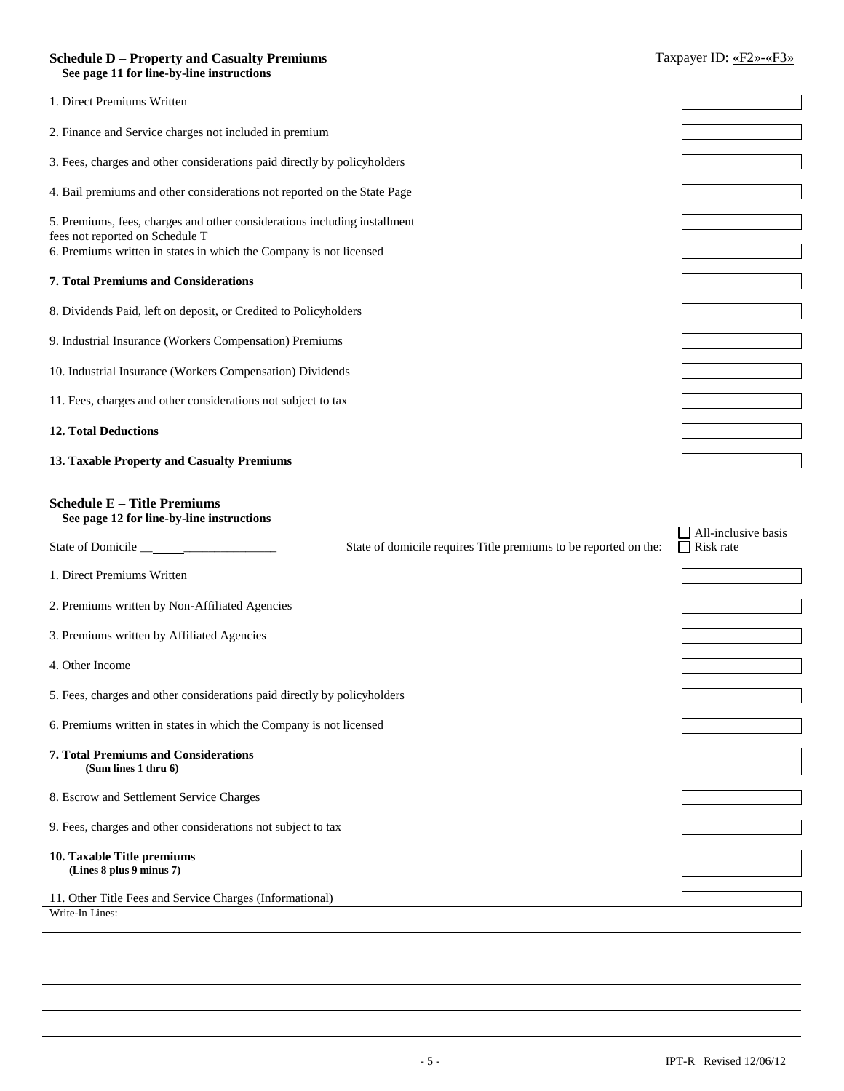# **Schedule D – Property and Casualty Premiums** Taxpayer ID: «F2»-«F3»  **See page 11 for line-by-line instructions** 1. Direct Premiums Written 2. Finance and Service charges not included in premium 3. Fees, charges and other considerations paid directly by policyholders 4. Bail premiums and other considerations not reported on the State Page 5. Premiums, fees, charges and other considerations including installment fees not reported on Schedule T 6. Premiums written in states in which the Company is not licensed **7. Total Premiums and Considerations** 8. Dividends Paid, left on deposit, or Credited to Policyholders 9. Industrial Insurance (Workers Compensation) Premiums 10. Industrial Insurance (Workers Compensation) Dividends 11. Fees, charges and other considerations not subject to tax **12. Total Deductions 13. Taxable Property and Casualty Premiums Schedule E – Title Premiums See page 12 for line-by-line instructions** State of Domicile \_\_ \_\_\_\_\_\_\_\_\_\_\_\_\_\_\_ State of domicile requires Title premiums to be reported on the:  $\Box$  All-inclusive basis  $\Box$  Risk rate 1. Direct Premiums Written 2. Premiums written by Non-Affiliated Agencies 3. Premiums written by Affiliated Agencies 4. Other Income 5. Fees, charges and other considerations paid directly by policyholders 6. Premiums written in states in which the Company is not licensed **7. Total Premiums and Considerations (Sum lines 1 thru 6)** 8. Escrow and Settlement Service Charges 9. Fees, charges and other considerations not subject to tax **10. Taxable Title premiums (Lines 8 plus 9 minus 7)** 11. Other Title Fees and Service Charges (Informational) Write-In Lines: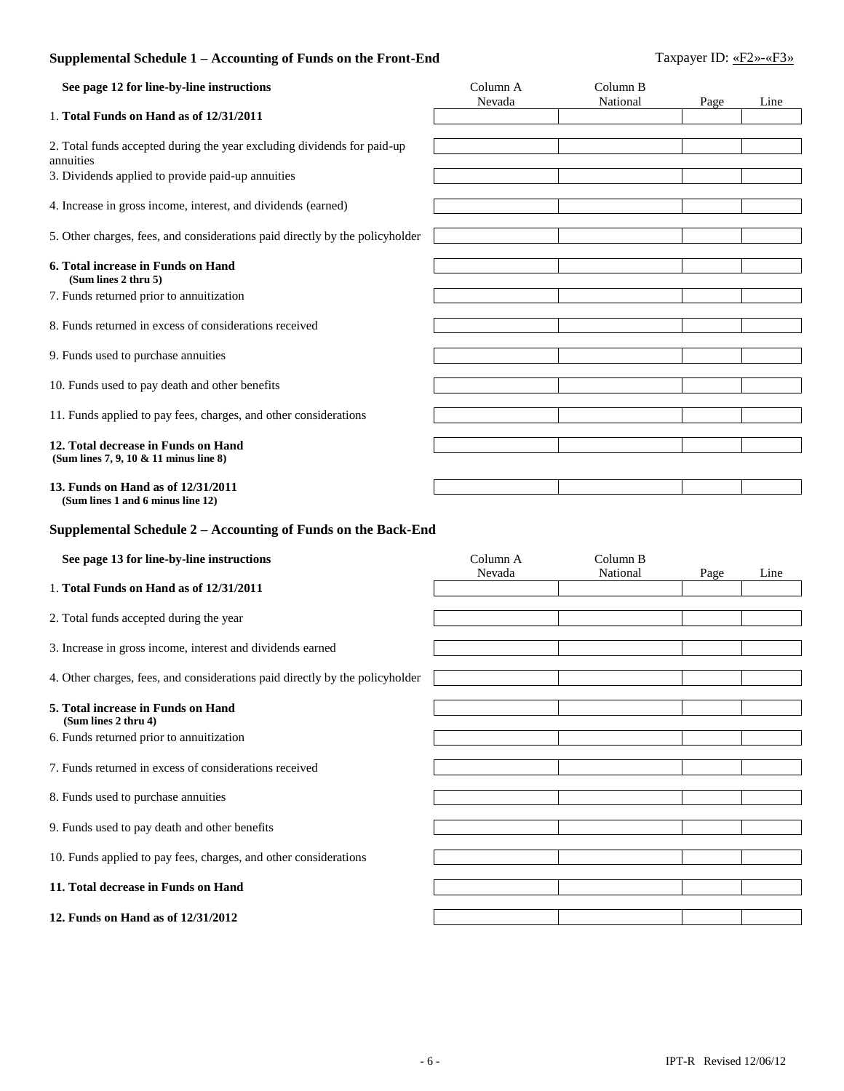# **Supplemental Schedule 1 – Accounting of Funds on the Front-End** Taxpayer ID: «F2»-«F3»

| See page 12 for line-by-line instructions                                            | Column A<br>Nevada | Column B<br>National | Page | Line |
|--------------------------------------------------------------------------------------|--------------------|----------------------|------|------|
| 1. Total Funds on Hand as of 12/31/2011                                              |                    |                      |      |      |
| 2. Total funds accepted during the year excluding dividends for paid-up<br>annuities |                    |                      |      |      |
| 3. Dividends applied to provide paid-up annuities                                    |                    |                      |      |      |
| 4. Increase in gross income, interest, and dividends (earned)                        |                    |                      |      |      |
| 5. Other charges, fees, and considerations paid directly by the policyholder         |                    |                      |      |      |
| 6. Total increase in Funds on Hand<br>(Sum lines 2 thru 5)                           |                    |                      |      |      |
| 7. Funds returned prior to annuitization                                             |                    |                      |      |      |
| 8. Funds returned in excess of considerations received                               |                    |                      |      |      |
| 9. Funds used to purchase annuities                                                  |                    |                      |      |      |
| 10. Funds used to pay death and other benefits                                       |                    |                      |      |      |
| 11. Funds applied to pay fees, charges, and other considerations                     |                    |                      |      |      |
| 12. Total decrease in Funds on Hand<br>(Sum lines 7, 9, 10 & 11 minus line 8)        |                    |                      |      |      |
| 13. Funds on Hand as of 12/31/2011<br>(Sum lines 1 and 6 minus line 12)              |                    |                      |      |      |
| Supplemental Schedule 2 - Accounting of Funds on the Back-End                        |                    |                      |      |      |
| See page 13 for line-by-line instructions                                            | Column A<br>Nevada | Column B<br>National | Page | Line |
| 1. Total Funds on Hand as of 12/31/2011                                              |                    |                      |      |      |
| 2. Total funds accepted during the year                                              |                    |                      |      |      |
| 3. Increase in gross income, interest and dividends earned                           |                    |                      |      |      |
|                                                                                      |                    |                      |      |      |
| 4. Other charges, fees, and considerations paid directly by the policyholder         |                    |                      |      |      |
| 5. Total increase in Funds on Hand                                                   |                    |                      |      |      |

- **(Sum lines 2 thru 4)**
- 6. Funds returned prior to annuitization
- 7. Funds returned in excess of considerations received
- 8. Funds used to purchase annuities
- 9. Funds used to pay death and other benefits
- 10. Funds applied to pay fees, charges, and other considerations

# **11. Total decrease in Funds on Hand**

**12. Funds on Hand as of 12/31/2012**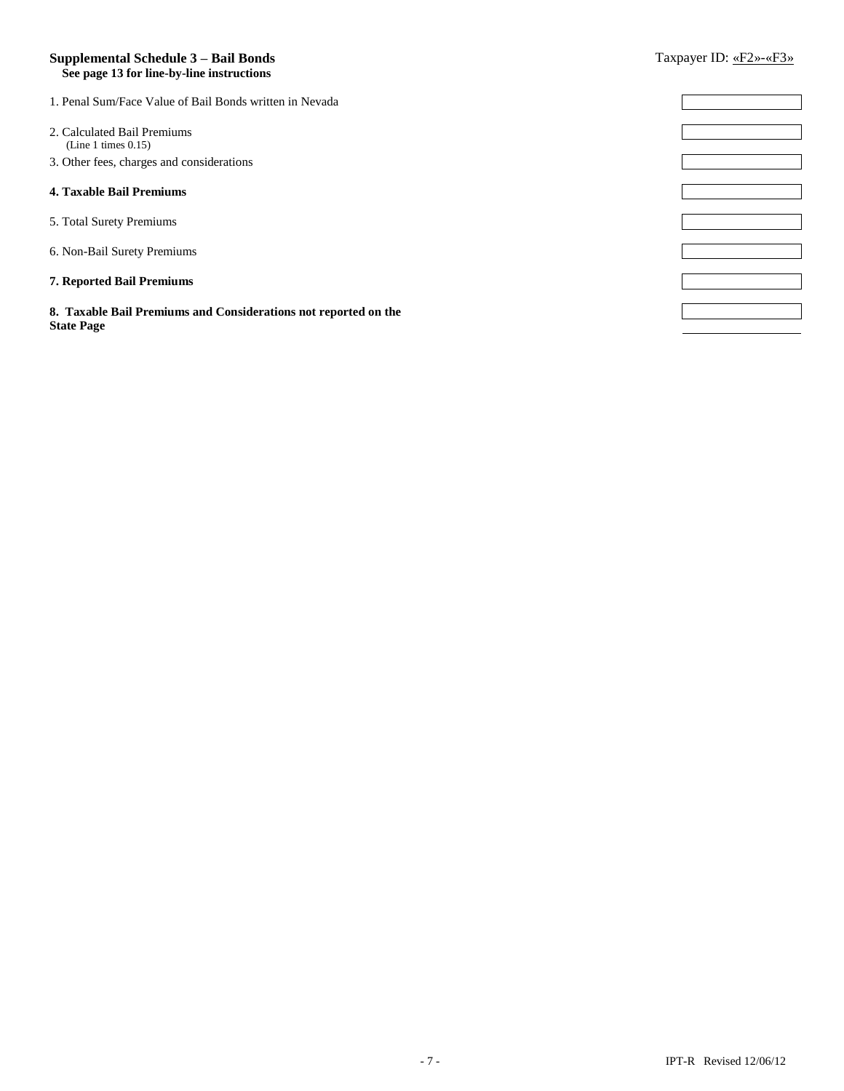### **Supplemental Schedule 3 – Bail Bonds** Taxpayer ID: «F2»-«F3»  **See page 13 for line-by-line instructions**

| 1. Penal Sum/Face Value of Bail Bonds written in Nevada         |  |
|-----------------------------------------------------------------|--|
|                                                                 |  |
| 2. Calculated Bail Premiums                                     |  |
| (Line 1 times 0.15)                                             |  |
| 3. Other fees, charges and considerations                       |  |
|                                                                 |  |
| 4. Taxable Bail Premiums                                        |  |
|                                                                 |  |
| 5. Total Surety Premiums                                        |  |
|                                                                 |  |
| 6. Non-Bail Surety Premiums                                     |  |
|                                                                 |  |
| 7. Reported Bail Premiums                                       |  |
|                                                                 |  |
| 8. Taxable Bail Premiums and Considerations not reported on the |  |
| <b>State Page</b>                                               |  |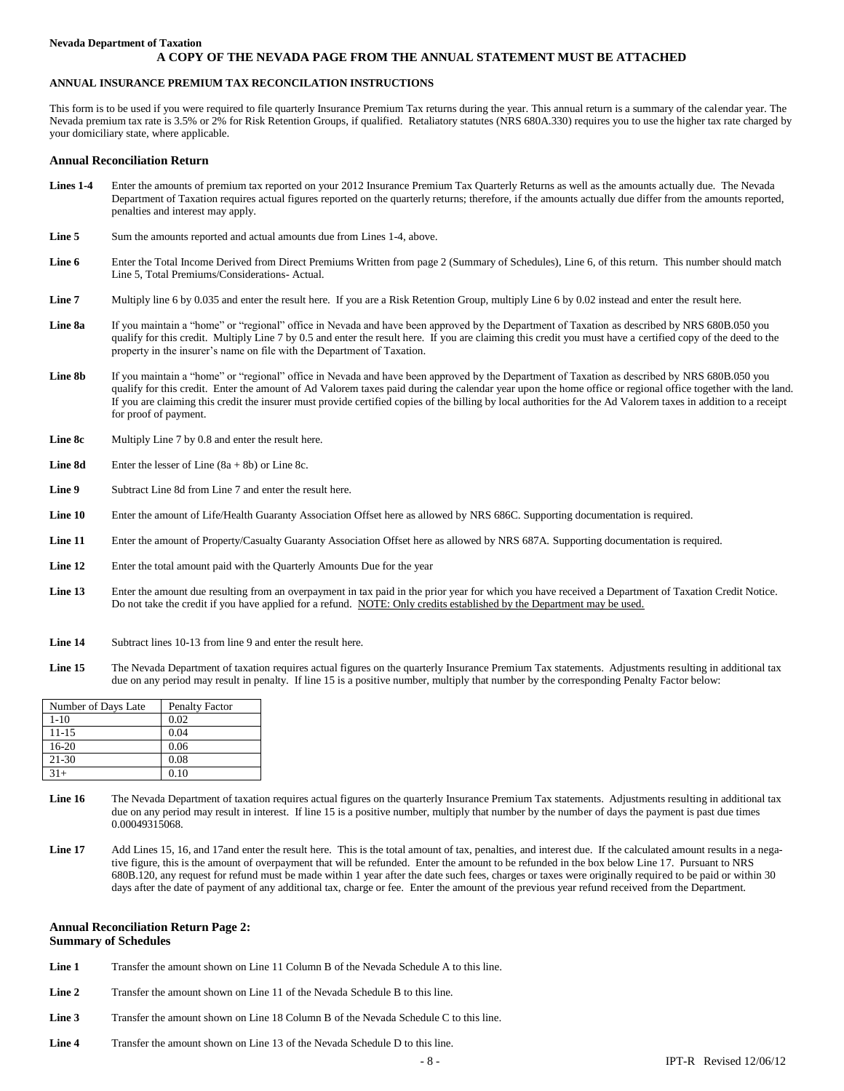#### **Nevada Department of Taxation**

#### **A COPY OF THE NEVADA PAGE FROM THE ANNUAL STATEMENT MUST BE ATTACHED**

#### **ANNUAL INSURANCE PREMIUM TAX RECONCILATION INSTRUCTIONS**

This form is to be used if you were required to file quarterly Insurance Premium Tax returns during the year. This annual return is a summary of the calendar year. The Nevada premium tax rate is 3.5% or 2% for Risk Retention Groups, if qualified. Retaliatory statutes (NRS 680A.330) requires you to use the higher tax rate charged by your domiciliary state, where applicable.

#### **Annual Reconciliation Return**

- **Lines 1-4** Enter the amounts of premium tax reported on your 2012 Insurance Premium Tax Quarterly Returns as well as the amounts actually due. The Nevada Department of Taxation requires actual figures reported on the quarterly returns; therefore, if the amounts actually due differ from the amounts reported, penalties and interest may apply.
- **Line 5** Sum the amounts reported and actual amounts due from Lines 1-4, above.
- Line 6 Enter the Total Income Derived from Direct Premiums Written from page 2 (Summary of Schedules), Line 6, of this return. This number should match Line 5, Total Premiums/Considerations- Actual.
- Line 7 Multiply line 6 by 0.035 and enter the result here. If you are a Risk Retention Group, multiply Line 6 by 0.02 instead and enter the result here.
- Line 8a If you maintain a "home" or "regional" office in Nevada and have been approved by the Department of Taxation as described by NRS 680B.050 you qualify for this credit. Multiply Line 7 by 0.5 and enter the result here. If you are claiming this credit you must have a certified copy of the deed to the property in the insurer's name on file with the Department of Taxation.
- Line 8b If you maintain a "home" or "regional" office in Nevada and have been approved by the Department of Taxation as described by NRS 680B.050 you qualify for this credit. Enter the amount of Ad Valorem taxes paid during the calendar year upon the home office or regional office together with the land. If you are claiming this credit the insurer must provide certified copies of the billing by local authorities for the Ad Valorem taxes in addition to a receipt for proof of payment.
- **Line 8c** Multiply Line 7 by 0.8 and enter the result here.
- **Line 8d** Enter the lesser of Line (8a + 8b) or Line 8c.
- Line 9 Subtract Line 8d from Line 7 and enter the result here.
- Line 10 Enter the amount of Life/Health Guaranty Association Offset here as allowed by NRS 686C. Supporting documentation is required.
- Line 11 Enter the amount of Property/Casualty Guaranty Association Offset here as allowed by NRS 687A. Supporting documentation is required.
- Line 12 Enter the total amount paid with the Quarterly Amounts Due for the year
- **Line 13** Enter the amount due resulting from an overpayment in tax paid in the prior year for which you have received a Department of Taxation Credit Notice. Do not take the credit if you have applied for a refund. NOTE: Only credits established by the Department may be used.
- **Line 14** Subtract lines 10-13 from line 9 and enter the result here.
- **Line 15** The Nevada Department of taxation requires actual figures on the quarterly Insurance Premium Tax statements. Adjustments resulting in additional tax due on any period may result in penalty. If line 15 is a positive number, multiply that number by the corresponding Penalty Factor below:

| Number of Days Late | Penalty Factor |
|---------------------|----------------|
| $1-10$              | 0.02           |
| $11 - 15$           | 0.04           |
| $16-20$             | 0.06           |
| $21 - 30$           | 0.08           |
| $31+$               | 0 1 O          |

- **Line 16** The Nevada Department of taxation requires actual figures on the quarterly Insurance Premium Tax statements. Adjustments resulting in additional tax due on any period may result in interest. If line 15 is a positive number, multiply that number by the number of days the payment is past due times 0.00049315068.
- Line 17 Add Lines 15, 16, and 17and enter the result here. This is the total amount of tax, penalties, and interest due. If the calculated amount results in a negative figure, this is the amount of overpayment that will be refunded. Enter the amount to be refunded in the box below Line 17. Pursuant to NRS 680B.120, any request for refund must be made within 1 year after the date such fees, charges or taxes were originally required to be paid or within 30 days after the date of payment of any additional tax, charge or fee. Enter the amount of the previous year refund received from the Department.

#### **Annual Reconciliation Return Page 2:**

#### **Summary of Schedules**

- **Line 1** Transfer the amount shown on Line 11 Column B of the Nevada Schedule A to this line.
- **Line 2** Transfer the amount shown on Line 11 of the Nevada Schedule B to this line.
- Line 3 Transfer the amount shown on Line 18 Column B of the Nevada Schedule C to this line.
- **Line 4** Transfer the amount shown on Line 13 of the Nevada Schedule D to this line.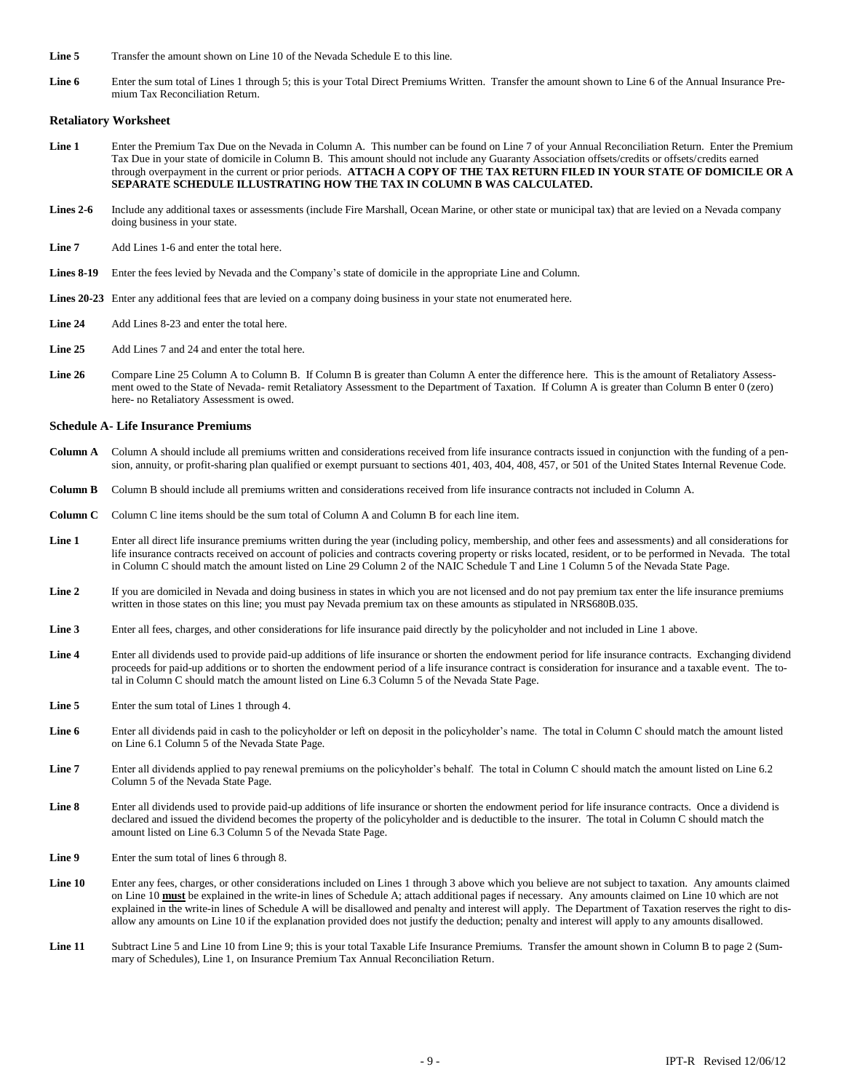- **Line 5** Transfer the amount shown on Line 10 of the Nevada Schedule E to this line.
- Line 6 Enter the sum total of Lines 1 through 5; this is your Total Direct Premiums Written. Transfer the amount shown to Line 6 of the Annual Insurance Premium Tax Reconciliation Return.

#### **Retaliatory Worksheet**

- Line 1 Enter the Premium Tax Due on the Nevada in Column A. This number can be found on Line 7 of your Annual Reconciliation Return. Enter the Premium Tax Due in your state of domicile in Column B. This amount should not include any Guaranty Association offsets/credits or offsets/credits earned through overpayment in the current or prior periods. **ATTACH A COPY OF THE TAX RETURN FILED IN YOUR STATE OF DOMICILE OR A SEPARATE SCHEDULE ILLUSTRATING HOW THE TAX IN COLUMN B WAS CALCULATED.**
- **Lines 2-6** Include any additional taxes or assessments (include Fire Marshall, Ocean Marine, or other state or municipal tax) that are levied on a Nevada company doing business in your state.
- Line 7 Add Lines 1-6 and enter the total here.
- **Lines 8-19** Enter the fees levied by Nevada and the Company's state of domicile in the appropriate Line and Column.
- Lines 20-23 Enter any additional fees that are levied on a company doing business in your state not enumerated here.
- **Line 24** Add Lines 8-23 and enter the total here.
- **Line 25** Add Lines 7 and 24 and enter the total here.
- Line 26 Compare Line 25 Column A to Column B. If Column B is greater than Column A enter the difference here. This is the amount of Retaliatory Assessment owed to the State of Nevada- remit Retaliatory Assessment to the Department of Taxation. If Column A is greater than Column B enter 0 (zero) here- no Retaliatory Assessment is owed.

#### **Schedule A- Life Insurance Premiums**

- **Column A** Column A should include all premiums written and considerations received from life insurance contracts issued in conjunction with the funding of a pension, annuity, or profit-sharing plan qualified or exempt pursuant to sections 401, 403, 404, 408, 457, or 501 of the United States Internal Revenue Code.
- **Column B** Column B should include all premiums written and considerations received from life insurance contracts not included in Column A.
- **Column C** Column C line items should be the sum total of Column A and Column B for each line item.
- **Line 1** Enter all direct life insurance premiums written during the year (including policy, membership, and other fees and assessments) and all considerations for life insurance contracts received on account of policies and contracts covering property or risks located, resident, or to be performed in Nevada. The total in Column C should match the amount listed on Line 29 Column 2 of the NAIC Schedule T and Line 1 Column 5 of the Nevada State Page.
- Line 2 If you are domiciled in Nevada and doing business in states in which you are not licensed and do not pay premium tax enter the life insurance premiums written in those states on this line; you must pay Nevada premium tax on these amounts as stipulated in NRS680B.035.
- **Line 3** Enter all fees, charges, and other considerations for life insurance paid directly by the policyholder and not included in Line 1 above.
- **Line 4** Enter all dividends used to provide paid-up additions of life insurance or shorten the endowment period for life insurance contracts. Exchanging dividend proceeds for paid-up additions or to shorten the endowment period of a life insurance contract is consideration for insurance and a taxable event. The total in Column C should match the amount listed on Line 6.3 Column 5 of the Nevada State Page.
- **Line 5** Enter the sum total of Lines 1 through 4.
- **Line 6** Enter all dividends paid in cash to the policyholder or left on deposit in the policyholder's name. The total in Column C should match the amount listed on Line 6.1 Column 5 of the Nevada State Page.
- **Line 7** Enter all dividends applied to pay renewal premiums on the policyholder's behalf. The total in Column C should match the amount listed on Line 6.2 Column 5 of the Nevada State Page.
- **Line 8** Enter all dividends used to provide paid-up additions of life insurance or shorten the endowment period for life insurance contracts. Once a dividend is declared and issued the dividend becomes the property of the policyholder and is deductible to the insurer. The total in Column C should match the amount listed on Line 6.3 Column 5 of the Nevada State Page.
- **Line 9** Enter the sum total of lines 6 through 8.
- **Line 10** Enter any fees, charges, or other considerations included on Lines 1 through 3 above which you believe are not subject to taxation. Any amounts claimed on Line 10 **must** be explained in the write-in lines of Schedule A; attach additional pages if necessary. Any amounts claimed on Line 10 which are not explained in the write-in lines of Schedule A will be disallowed and penalty and interest will apply. The Department of Taxation reserves the right to disallow any amounts on Line 10 if the explanation provided does not justify the deduction; penalty and interest will apply to any amounts disallowed.
- Line 11 Subtract Line 5 and Line 10 from Line 9; this is your total Taxable Life Insurance Premiums. Transfer the amount shown in Column B to page 2 (Summary of Schedules), Line 1, on Insurance Premium Tax Annual Reconciliation Return.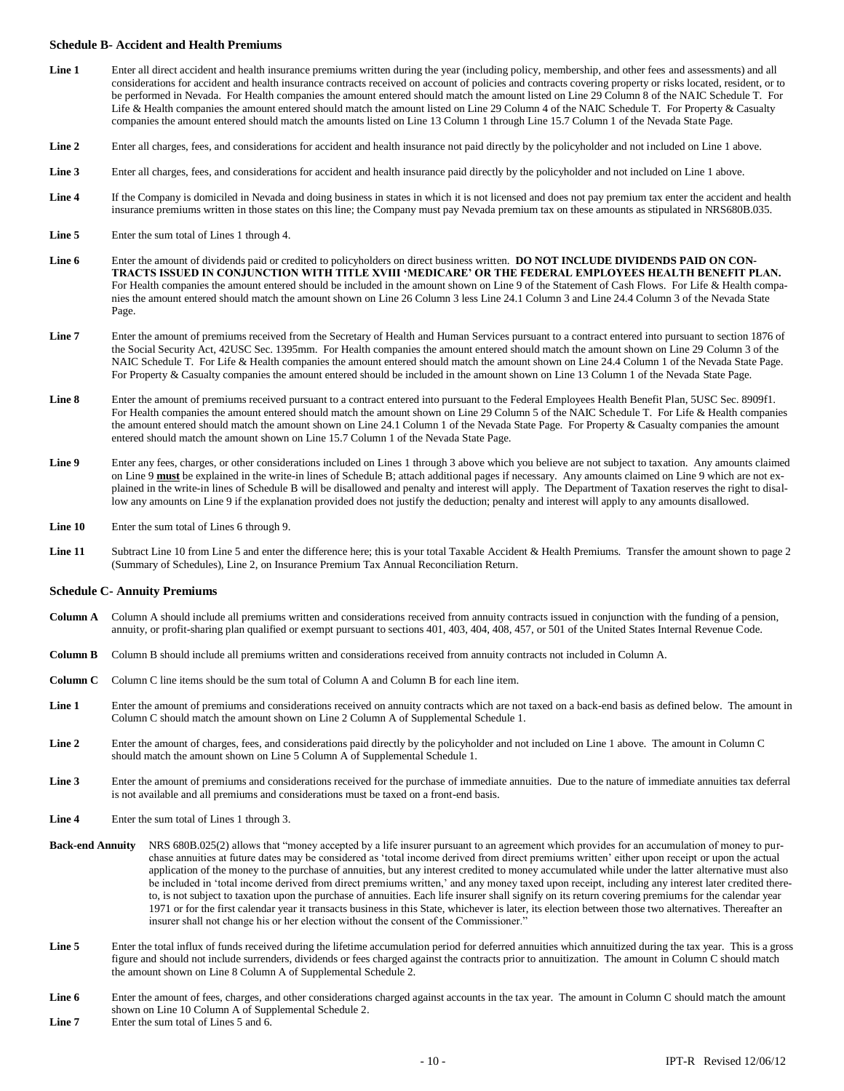#### **Schedule B- Accident and Health Premiums**

- **Line 1** Enter all direct accident and health insurance premiums written during the year (including policy, membership, and other fees and assessments) and all considerations for accident and health insurance contracts received on account of policies and contracts covering property or risks located, resident, or to be performed in Nevada. For Health companies the amount entered should match the amount listed on Line 29 Column 8 of the NAIC Schedule T. For Life & Health companies the amount entered should match the amount listed on Line 29 Column 4 of the NAIC Schedule T. For Property & Casualty companies the amount entered should match the amounts listed on Line 13 Column 1 through Line 15.7 Column 1 of the Nevada State Page.
- Line 2 Enter all charges, fees, and considerations for accident and health insurance not paid directly by the policyholder and not included on Line 1 above.
- **Line 3** Enter all charges, fees, and considerations for accident and health insurance paid directly by the policyholder and not included on Line 1 above.
- Line 4 If the Company is domiciled in Nevada and doing business in states in which it is not licensed and does not pay premium tax enter the accident and health insurance premiums written in those states on this line; the Company must pay Nevada premium tax on these amounts as stipulated in NRS680B.035.
- **Line 5** Enter the sum total of Lines 1 through 4.
- Line 6 Enter the amount of dividends paid or credited to policyholders on direct business written. DO NOT INCLUDE DIVIDENDS PAID ON CON-**TRACTS ISSUED IN CONJUNCTION WITH TITLE XVIII 'MEDICARE' OR THE FEDERAL EMPLOYEES HEALTH BENEFIT PLAN.** For Health companies the amount entered should be included in the amount shown on Line 9 of the Statement of Cash Flows. For Life & Health companies the amount entered should match the amount shown on Line 26 Column 3 less Line 24.1 Column 3 and Line 24.4 Column 3 of the Nevada State Page.
- **Line 7** Enter the amount of premiums received from the Secretary of Health and Human Services pursuant to a contract entered into pursuant to section 1876 of the Social Security Act, 42USC Sec. 1395mm. For Health companies the amount entered should match the amount shown on Line 29 Column 3 of the NAIC Schedule T. For Life & Health companies the amount entered should match the amount shown on Line 24.4 Column 1 of the Nevada State Page. For Property & Casualty companies the amount entered should be included in the amount shown on Line 13 Column 1 of the Nevada State Page.
- **Line 8** Enter the amount of premiums received pursuant to a contract entered into pursuant to the Federal Employees Health Benefit Plan, 5USC Sec. 8909f1. For Health companies the amount entered should match the amount shown on Line 29 Column 5 of the NAIC Schedule T. For Life & Health companies the amount entered should match the amount shown on Line 24.1 Column 1 of the Nevada State Page. For Property & Casualty companies the amount entered should match the amount shown on Line 15.7 Column 1 of the Nevada State Page.
- **Line 9** Enter any fees, charges, or other considerations included on Lines 1 through 3 above which you believe are not subject to taxation. Any amounts claimed on Line 9 **must** be explained in the write-in lines of Schedule B; attach additional pages if necessary. Any amounts claimed on Line 9 which are not explained in the write-in lines of Schedule B will be disallowed and penalty and interest will apply. The Department of Taxation reserves the right to disallow any amounts on Line 9 if the explanation provided does not justify the deduction; penalty and interest will apply to any amounts disallowed.
- Line 10 Enter the sum total of Lines 6 through 9.
- Line 11 Subtract Line 10 from Line 5 and enter the difference here; this is your total Taxable Accident & Health Premiums. Transfer the amount shown to page 2 (Summary of Schedules), Line 2, on Insurance Premium Tax Annual Reconciliation Return.

#### **Schedule C- Annuity Premiums**

- **Column A** Column A should include all premiums written and considerations received from annuity contracts issued in conjunction with the funding of a pension, annuity, or profit-sharing plan qualified or exempt pursuant to sections 401, 403, 404, 408, 457, or 501 of the United States Internal Revenue Code.
- **Column B** Column B should include all premiums written and considerations received from annuity contracts not included in Column A.
- **Column C** Column C line items should be the sum total of Column A and Column B for each line item.
- Line 1 Enter the amount of premiums and considerations received on annuity contracts which are not taxed on a back-end basis as defined below. The amount in Column C should match the amount shown on Line 2 Column A of Supplemental Schedule 1.
- **Line 2** Enter the amount of charges, fees, and considerations paid directly by the policyholder and not included on Line 1 above. The amount in Column C should match the amount shown on Line 5 Column A of Supplemental Schedule 1.
- **Line 3** Enter the amount of premiums and considerations received for the purchase of immediate annuities. Due to the nature of immediate annuities tax deferral is not available and all premiums and considerations must be taxed on a front-end basis.
- **Line 4** Enter the sum total of Lines 1 through 3.
- **Back-end Annuity** NRS 680B.025(2) allows that "money accepted by a life insurer pursuant to an agreement which provides for an accumulation of money to purchase annuities at future dates may be considered as 'total income derived from direct premiums written' either upon receipt or upon the actual application of the money to the purchase of annuities, but any interest credited to money accumulated while under the latter alternative must also be included in 'total income derived from direct premiums written,' and any money taxed upon receipt, including any interest later credited thereto, is not subject to taxation upon the purchase of annuities. Each life insurer shall signify on its return covering premiums for the calendar year 1971 or for the first calendar year it transacts business in this State, whichever is later, its election between those two alternatives. Thereafter an insurer shall not change his or her election without the consent of the Commissioner."
- Line 5 Enter the total influx of funds received during the lifetime accumulation period for deferred annuitizes which annuitized during the tax year. This is a gross figure and should not include surrenders, dividends or fees charged against the contracts prior to annuitization. The amount in Column C should match the amount shown on Line 8 Column A of Supplemental Schedule 2.
- Line 6 Enter the amount of fees, charges, and other considerations charged against accounts in the tax year. The amount in Column C should match the amount shown on Line 10 Column A of Supplemental Schedule 2.
- Line 7 Enter the sum total of Lines 5 and 6.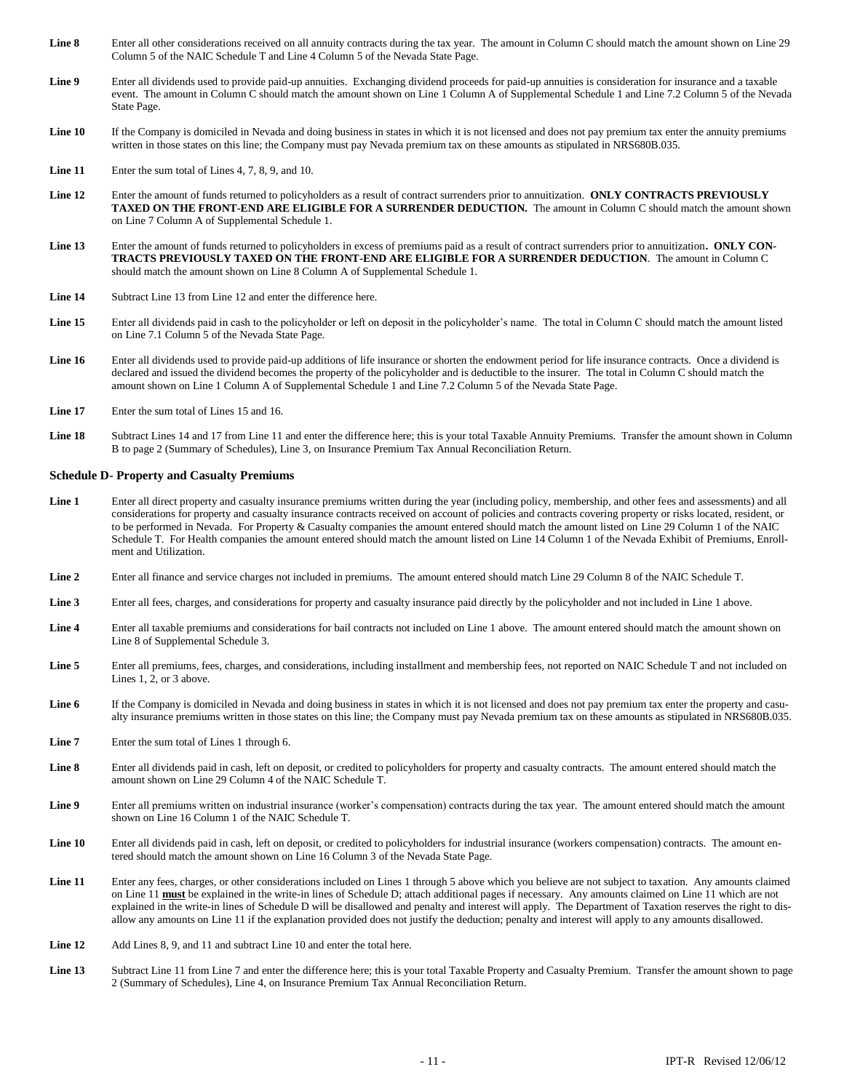- **Line 8** Enter all other considerations received on all annuity contracts during the tax year. The amount in Column C should match the amount shown on Line 29 Column 5 of the NAIC Schedule T and Line 4 Column 5 of the Nevada State Page.
- **Line 9** Enter all dividends used to provide paid-up annuities. Exchanging dividend proceeds for paid-up annuities is consideration for insurance and a taxable event. The amount in Column C should match the amount shown on Line 1 Column A of Supplemental Schedule 1 and Line 7.2 Column 5 of the Nevada State Page.
- Line 10 If the Company is domiciled in Nevada and doing business in states in which it is not licensed and does not pay premium tax enter the annuity premiums written in those states on this line; the Company must pay Nevada premium tax on these amounts as stipulated in NRS680B.035.
- **Line 11** Enter the sum total of Lines 4, 7, 8, 9, and 10.
- **Line 12** Enter the amount of funds returned to policyholders as a result of contract surrenders prior to annuitization. **ONLY CONTRACTS PREVIOUSLY TAXED ON THE FRONT-END ARE ELIGIBLE FOR A SURRENDER DEDUCTION.** The amount in Column C should match the amount shown on Line 7 Column A of Supplemental Schedule 1.
- **Line 13** Enter the amount of funds returned to policyholders in excess of premiums paid as a result of contract surrenders prior to annuitization**. ONLY CON-TRACTS PREVIOUSLY TAXED ON THE FRONT-END ARE ELIGIBLE FOR A SURRENDER DEDUCTION**. The amount in Column C should match the amount shown on Line 8 Column A of Supplemental Schedule 1.
- **Line 14** Subtract Line 13 from Line 12 and enter the difference here.
- Line 15 Enter all dividends paid in cash to the policyholder or left on deposit in the policyholder's name. The total in Column C should match the amount listed on Line 7.1 Column 5 of the Nevada State Page.
- Line 16 Enter all dividends used to provide paid-up additions of life insurance or shorten the endowment period for life insurance contracts. Once a dividend is declared and issued the dividend becomes the property of the policyholder and is deductible to the insurer. The total in Column C should match the amount shown on Line 1 Column A of Supplemental Schedule 1 and Line 7.2 Column 5 of the Nevada State Page.
- **Line 17** Enter the sum total of Lines 15 and 16.
- **Line 18** Subtract Lines 14 and 17 from Line 11 and enter the difference here; this is your total Taxable Annuity Premiums. Transfer the amount shown in Column B to page 2 (Summary of Schedules), Line 3, on Insurance Premium Tax Annual Reconciliation Return.

#### **Schedule D- Property and Casualty Premiums**

- **Line 1** Enter all direct property and casualty insurance premiums written during the year (including policy, membership, and other fees and assessments) and all considerations for property and casualty insurance contracts received on account of policies and contracts covering property or risks located, resident, or to be performed in Nevada. For Property & Casualty companies the amount entered should match the amount listed on Line 29 Column 1 of the NAIC Schedule T. For Health companies the amount entered should match the amount listed on Line 14 Column 1 of the Nevada Exhibit of Premiums, Enrollment and Utilization.
- **Line 2** Enter all finance and service charges not included in premiums. The amount entered should match Line 29 Column 8 of the NAIC Schedule T.
- **Line 3** Enter all fees, charges, and considerations for property and casualty insurance paid directly by the policyholder and not included in Line 1 above.
- Line 4 Enter all taxable premiums and considerations for bail contracts not included on Line 1 above. The amount entered should match the amount shown on Line 8 of Supplemental Schedule 3.
- **Line 5** Enter all premiums, fees, charges, and considerations, including installment and membership fees, not reported on NAIC Schedule T and not included on Lines 1, 2, or 3 above.
- Line 6 If the Company is domiciled in Nevada and doing business in states in which it is not licensed and does not pay premium tax enter the property and casualty insurance premiums written in those states on this line; the Company must pay Nevada premium tax on these amounts as stipulated in NRS680B.035.
- **Line 7** Enter the sum total of Lines 1 through 6.
- **Line 8** Enter all dividends paid in cash, left on deposit, or credited to policyholders for property and casualty contracts. The amount entered should match the amount shown on Line 29 Column 4 of the NAIC Schedule T.
- **Line 9** Enter all premiums written on industrial insurance (worker's compensation) contracts during the tax year. The amount entered should match the amount shown on Line 16 Column 1 of the NAIC Schedule T.
- Line 10 Enter all dividends paid in cash, left on deposit, or credited to policyholders for industrial insurance (workers compensation) contracts. The amount entered should match the amount shown on Line 16 Column 3 of the Nevada State Page.
- Line 11 Enter any fees, charges, or other considerations included on Lines 1 through 5 above which you believe are not subject to taxation. Any amounts claimed on Line 11 **must** be explained in the write-in lines of Schedule D; attach additional pages if necessary. Any amounts claimed on Line 11 which are not explained in the write-in lines of Schedule D will be disallowed and penalty and interest will apply. The Department of Taxation reserves the right to disallow any amounts on Line 11 if the explanation provided does not justify the deduction; penalty and interest will apply to any amounts disallowed.
- **Line 12** Add Lines 8, 9, and 11 and subtract Line 10 and enter the total here.
- **Line 13** Subtract Line 11 from Line 7 and enter the difference here; this is your total Taxable Property and Casualty Premium. Transfer the amount shown to page 2 (Summary of Schedules), Line 4, on Insurance Premium Tax Annual Reconciliation Return.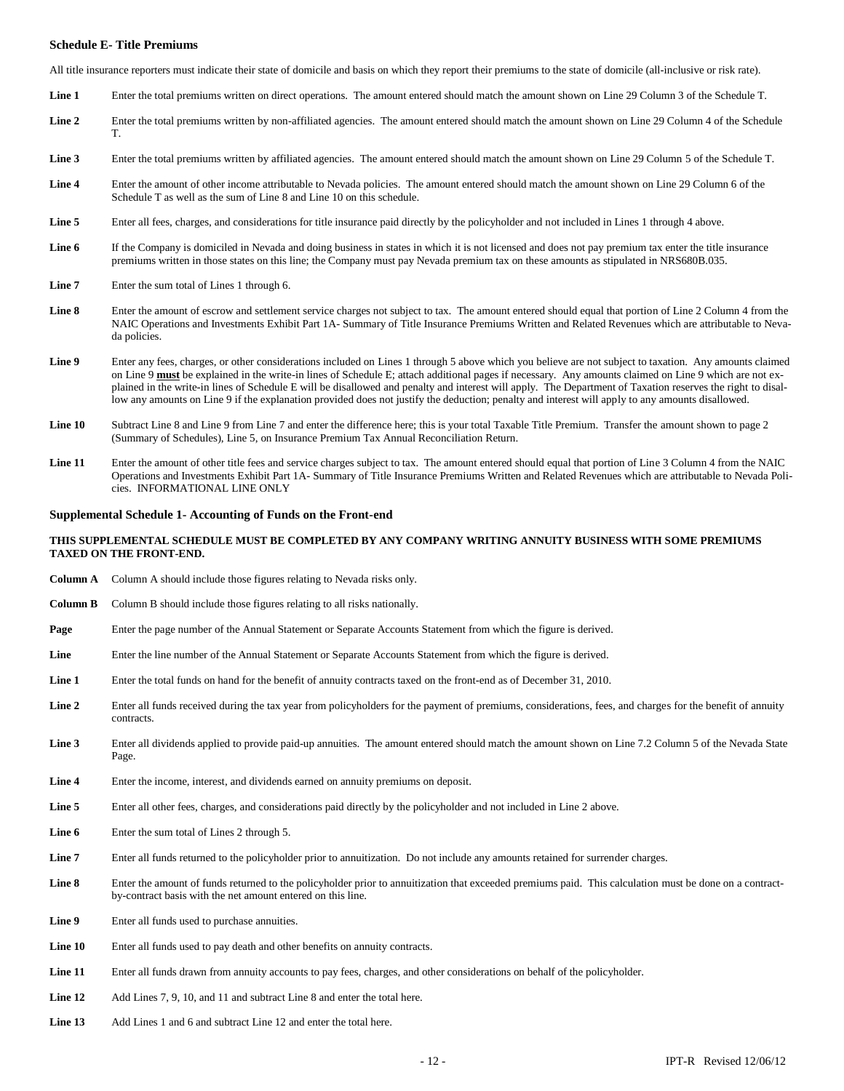#### **Schedule E- Title Premiums**

All title insurance reporters must indicate their state of domicile and basis on which they report their premiums to the state of domicile (all-inclusive or risk rate).

- **Line 1** Enter the total premiums written on direct operations. The amount entered should match the amount shown on Line 29 Column 3 of the Schedule T.
- Line 2 Enter the total premiums written by non-affiliated agencies. The amount entered should match the amount shown on Line 29 Column 4 of the Schedule T.
- **Line 3** Enter the total premiums written by affiliated agencies. The amount entered should match the amount shown on Line 29 Column 5 of the Schedule T.
- **Line 4** Enter the amount of other income attributable to Nevada policies. The amount entered should match the amount shown on Line 29 Column 6 of the Schedule T as well as the sum of Line 8 and Line 10 on this schedule.
- **Line 5** Enter all fees, charges, and considerations for title insurance paid directly by the policyholder and not included in Lines 1 through 4 above.
- **Line 6** If the Company is domiciled in Nevada and doing business in states in which it is not licensed and does not pay premium tax enter the title insurance premiums written in those states on this line; the Company must pay Nevada premium tax on these amounts as stipulated in NRS680B.035.
- **Line 7** Enter the sum total of Lines 1 through 6.
- **Line 8** Enter the amount of escrow and settlement service charges not subject to tax. The amount entered should equal that portion of Line 2 Column 4 from the NAIC Operations and Investments Exhibit Part 1A- Summary of Title Insurance Premiums Written and Related Revenues which are attributable to Nevada policies.
- **Line 9** Enter any fees, charges, or other considerations included on Lines 1 through 5 above which you believe are not subject to taxation. Any amounts claimed on Line 9 **must** be explained in the write-in lines of Schedule E; attach additional pages if necessary. Any amounts claimed on Line 9 which are not explained in the write-in lines of Schedule E will be disallowed and penalty and interest will apply. The Department of Taxation reserves the right to disallow any amounts on Line 9 if the explanation provided does not justify the deduction; penalty and interest will apply to any amounts disallowed.
- Line 10 Subtract Line 8 and Line 9 from Line 7 and enter the difference here; this is your total Taxable Title Premium. Transfer the amount shown to page 2 (Summary of Schedules), Line 5, on Insurance Premium Tax Annual Reconciliation Return.
- Line 11 Enter the amount of other title fees and service charges subject to tax. The amount entered should equal that portion of Line 3 Column 4 from the NAIC Operations and Investments Exhibit Part 1A- Summary of Title Insurance Premiums Written and Related Revenues which are attributable to Nevada Policies. INFORMATIONAL LINE ONLY

#### **Supplemental Schedule 1- Accounting of Funds on the Front-end**

#### **THIS SUPPLEMENTAL SCHEDULE MUST BE COMPLETED BY ANY COMPANY WRITING ANNUITY BUSINESS WITH SOME PREMIUMS TAXED ON THE FRONT-END.**

- **Column A** Column A should include those figures relating to Nevada risks only.
- **Column B** Column B should include those figures relating to all risks nationally.
- **Page** Enter the page number of the Annual Statement or Separate Accounts Statement from which the figure is derived.
- Line Enter the line number of the Annual Statement or Separate Accounts Statement from which the figure is derived.
- Line 1 Enter the total funds on hand for the benefit of annuity contracts taxed on the front-end as of December 31, 2010.
- Line 2 Enter all funds received during the tax year from policyholders for the payment of premiums, considerations, fees, and charges for the benefit of annuity contracts.
- Line 3 Enter all dividends applied to provide paid-up annuities. The amount entered should match the amount shown on Line 7.2 Column 5 of the Nevada State Page.
- **Line 4** Enter the income, interest, and dividends earned on annuity premiums on deposit.
- **Line 5** Enter all other fees, charges, and considerations paid directly by the policyholder and not included in Line 2 above.
- Line 6 Enter the sum total of Lines 2 through 5.
- **Line 7** Enter all funds returned to the policyholder prior to annuitization. Do not include any amounts retained for surrender charges.
- **Line 8** Enter the amount of funds returned to the policyholder prior to annuitization that exceeded premiums paid. This calculation must be done on a contractby-contract basis with the net amount entered on this line.
- **Line 9** Enter all funds used to purchase annuities.
- **Line 10** Enter all funds used to pay death and other benefits on annuity contracts.
- Line 11 Enter all funds drawn from annuity accounts to pay fees, charges, and other considerations on behalf of the policyholder.
- **Line 12** Add Lines 7, 9, 10, and 11 and subtract Line 8 and enter the total here.
- **Line 13** Add Lines 1 and 6 and subtract Line 12 and enter the total here.